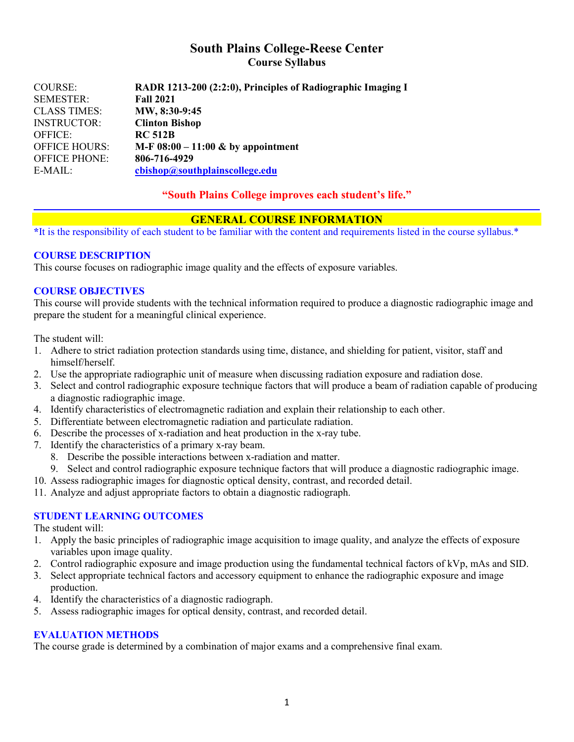## **South Plains College-Reese Center Course Syllabus**

| <b>COURSE:</b>       | RADR 1213-200 (2:2:0), Principles of Radiographic Imaging I |
|----------------------|-------------------------------------------------------------|
| <b>SEMESTER:</b>     | <b>Fall 2021</b>                                            |
| <b>CLASS TIMES:</b>  | MW, 8:30-9:45                                               |
| <b>INSTRUCTOR:</b>   | <b>Clinton Bishop</b>                                       |
| <b>OFFICE:</b>       | <b>RC 512B</b>                                              |
| <b>OFFICE HOURS:</b> | M-F $08:00 - 11:00 \& by a point$                           |
| <b>OFFICE PHONE:</b> | 806-716-4929                                                |
| $E-MAIL:$            | cbishop@southplainscollege.edu                              |

### **"South Plains College improves each student's life."**

### **GENERAL COURSE INFORMATION**

**\***It is the responsibility of each student to be familiar with the content and requirements listed in the course syllabus.\*

#### **COURSE DESCRIPTION**

This course focuses on radiographic image quality and the effects of exposure variables.

### **COURSE OBJECTIVES**

This course will provide students with the technical information required to produce a diagnostic radiographic image and prepare the student for a meaningful clinical experience.

The student will:

- 1. Adhere to strict radiation protection standards using time, distance, and shielding for patient, visitor, staff and himself/herself.
- 2. Use the appropriate radiographic unit of measure when discussing radiation exposure and radiation dose.
- 3. Select and control radiographic exposure technique factors that will produce a beam of radiation capable of producing a diagnostic radiographic image.
- 4. Identify characteristics of electromagnetic radiation and explain their relationship to each other.
- 5. Differentiate between electromagnetic radiation and particulate radiation.
- 6. Describe the processes of x-radiation and heat production in the x-ray tube.
- 7. Identify the characteristics of a primary x-ray beam.
	- 8. Describe the possible interactions between x-radiation and matter.
	- 9. Select and control radiographic exposure technique factors that will produce a diagnostic radiographic image.
- 10. Assess radiographic images for diagnostic optical density, contrast, and recorded detail.
- 11. Analyze and adjust appropriate factors to obtain a diagnostic radiograph.

#### **STUDENT LEARNING OUTCOMES**

The student will:

- 1. Apply the basic principles of radiographic image acquisition to image quality, and analyze the effects of exposure variables upon image quality.
- 2. Control radiographic exposure and image production using the fundamental technical factors of kVp, mAs and SID.
- 3. Select appropriate technical factors and accessory equipment to enhance the radiographic exposure and image production.
- 4. Identify the characteristics of a diagnostic radiograph.
- 5. Assess radiographic images for optical density, contrast, and recorded detail.

#### **EVALUATION METHODS**

The course grade is determined by a combination of major exams and a comprehensive final exam.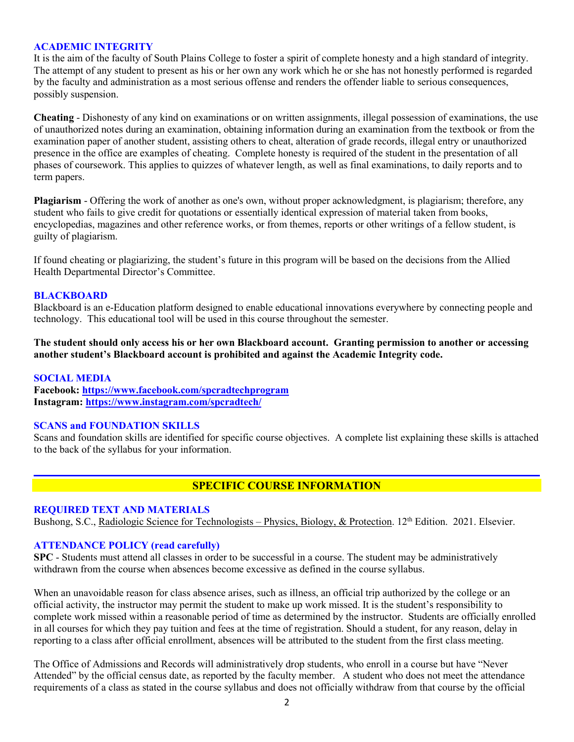#### **ACADEMIC INTEGRITY**

It is the aim of the faculty of South Plains College to foster a spirit of complete honesty and a high standard of integrity. The attempt of any student to present as his or her own any work which he or she has not honestly performed is regarded by the faculty and administration as a most serious offense and renders the offender liable to serious consequences, possibly suspension.

**Cheating** - Dishonesty of any kind on examinations or on written assignments, illegal possession of examinations, the use of unauthorized notes during an examination, obtaining information during an examination from the textbook or from the examination paper of another student, assisting others to cheat, alteration of grade records, illegal entry or unauthorized presence in the office are examples of cheating. Complete honesty is required of the student in the presentation of all phases of coursework. This applies to quizzes of whatever length, as well as final examinations, to daily reports and to term papers.

**Plagiarism** - Offering the work of another as one's own, without proper acknowledgment, is plagiarism; therefore, any student who fails to give credit for quotations or essentially identical expression of material taken from books, encyclopedias, magazines and other reference works, or from themes, reports or other writings of a fellow student, is guilty of plagiarism.

If found cheating or plagiarizing, the student's future in this program will be based on the decisions from the Allied Health Departmental Director's Committee.

#### **BLACKBOARD**

Blackboard is an e-Education platform designed to enable educational innovations everywhere by connecting people and technology. This educational tool will be used in this course throughout the semester.

**The student should only access his or her own Blackboard account. Granting permission to another or accessing another student's Blackboard account is prohibited and against the Academic Integrity code.**

#### **SOCIAL MEDIA**

**Facebook: <https://www.facebook.com/spcradtechprogram> Instagram:<https://www.instagram.com/spcradtech/>**

#### **SCANS and FOUNDATION SKILLS**

Scans and foundation skills are identified for specific course objectives. A complete list explaining these skills is attached to the back of the syllabus for your information.

## **SPECIFIC COURSE INFORMATION**

#### **REQUIRED TEXT AND MATERIALS**

Bushong, S.C., Radiologic Science for Technologists – Physics, Biology, & Protection. 12<sup>th</sup> Edition. 2021. Elsevier.

#### **ATTENDANCE POLICY (read carefully)**

**SPC** - Students must attend all classes in order to be successful in a course. The student may be administratively withdrawn from the course when absences become excessive as defined in the course syllabus.

When an unavoidable reason for class absence arises, such as illness, an official trip authorized by the college or an official activity, the instructor may permit the student to make up work missed. It is the student's responsibility to complete work missed within a reasonable period of time as determined by the instructor. Students are officially enrolled in all courses for which they pay tuition and fees at the time of registration. Should a student, for any reason, delay in reporting to a class after official enrollment, absences will be attributed to the student from the first class meeting.

The Office of Admissions and Records will administratively drop students, who enroll in a course but have "Never Attended" by the official census date, as reported by the faculty member. A student who does not meet the attendance requirements of a class as stated in the course syllabus and does not officially withdraw from that course by the official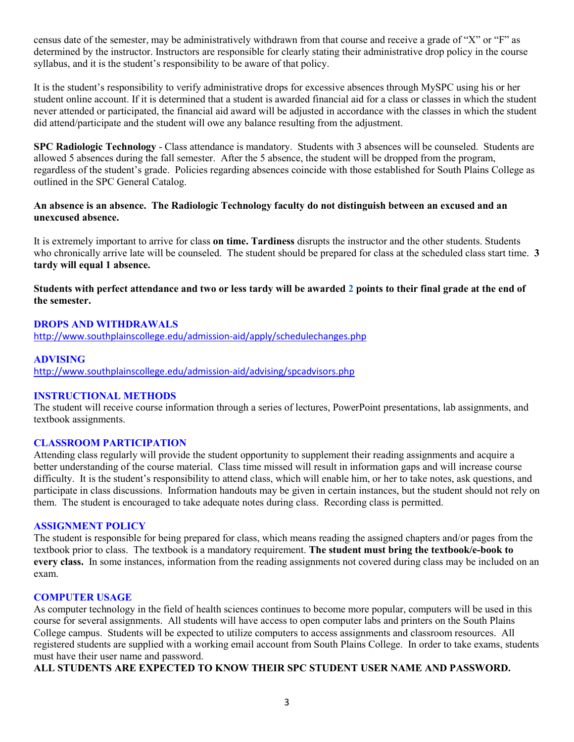census date of the semester, may be administratively withdrawn from that course and receive a grade of "X" or "F" as determined by the instructor. Instructors are responsible for clearly stating their administrative drop policy in the course syllabus, and it is the student's responsibility to be aware of that policy.

It is the student's responsibility to verify administrative drops for excessive absences through MySPC using his or her student online account. If it is determined that a student is awarded financial aid for a class or classes in which the student never attended or participated, the financial aid award will be adjusted in accordance with the classes in which the student did attend/participate and the student will owe any balance resulting from the adjustment.

**SPC Radiologic Technology** - Class attendance is mandatory. Students with 3 absences will be counseled. Students are allowed 5 absences during the fall semester. After the 5 absence, the student will be dropped from the program, regardless of the student's grade. Policies regarding absences coincide with those established for South Plains College as outlined in the SPC General Catalog.

### **An absence is an absence. The Radiologic Technology faculty do not distinguish between an excused and an unexcused absence.**

It is extremely important to arrive for class **on time. Tardiness** disrupts the instructor and the other students. Students who chronically arrive late will be counseled. The student should be prepared for class at the scheduled class start time. **3 tardy will equal 1 absence.**

### **Students with perfect attendance and two or less tardy will be awarded 2 points to their final grade at the end of the semester.**

### **DROPS AND WITHDRAWALS**

<http://www.southplainscollege.edu/admission-aid/apply/schedulechanges.php>

#### **ADVISING**

<http://www.southplainscollege.edu/admission-aid/advising/spcadvisors.php>

#### **INSTRUCTIONAL METHODS**

The student will receive course information through a series of lectures, PowerPoint presentations, lab assignments, and textbook assignments.

#### **CLASSROOM PARTICIPATION**

Attending class regularly will provide the student opportunity to supplement their reading assignments and acquire a better understanding of the course material. Class time missed will result in information gaps and will increase course difficulty. It is the student's responsibility to attend class, which will enable him, or her to take notes, ask questions, and participate in class discussions. Information handouts may be given in certain instances, but the student should not rely on them. The student is encouraged to take adequate notes during class. Recording class is permitted.

#### **ASSIGNMENT POLICY**

The student is responsible for being prepared for class, which means reading the assigned chapters and/or pages from the textbook prior to class. The textbook is a mandatory requirement. **The student must bring the textbook/e-book to every class.** In some instances, information from the reading assignments not covered during class may be included on an exam.

#### **COMPUTER USAGE**

As computer technology in the field of health sciences continues to become more popular, computers will be used in this course for several assignments. All students will have access to open computer labs and printers on the South Plains College campus. Students will be expected to utilize computers to access assignments and classroom resources. All registered students are supplied with a working email account from South Plains College. In order to take exams, students must have their user name and password.

**ALL STUDENTS ARE EXPECTED TO KNOW THEIR SPC STUDENT USER NAME AND PASSWORD.**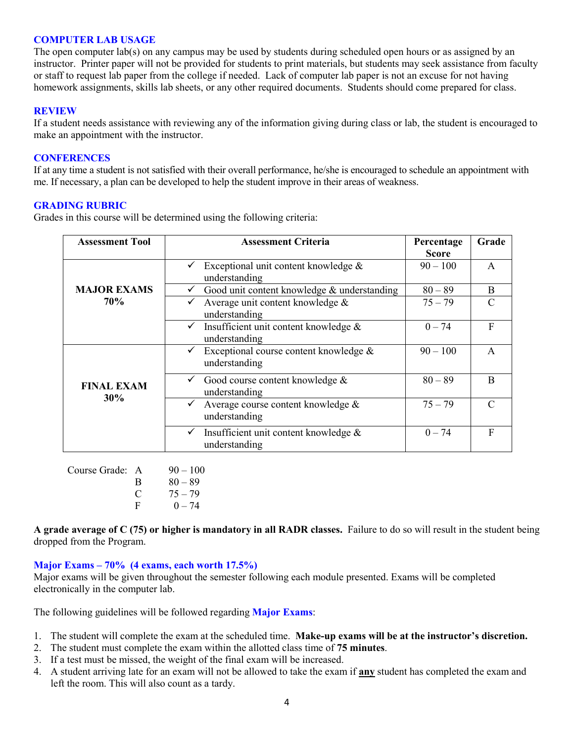#### **COMPUTER LAB USAGE**

The open computer lab(s) on any campus may be used by students during scheduled open hours or as assigned by an instructor. Printer paper will not be provided for students to print materials, but students may seek assistance from faculty or staff to request lab paper from the college if needed. Lack of computer lab paper is not an excuse for not having homework assignments, skills lab sheets, or any other required documents. Students should come prepared for class.

#### **REVIEW**

If a student needs assistance with reviewing any of the information giving during class or lab, the student is encouraged to make an appointment with the instructor.

#### **CONFERENCES**

If at any time a student is not satisfied with their overall performance, he/she is encouraged to schedule an appointment with me. If necessary, a plan can be developed to help the student improve in their areas of weakness.

#### **GRADING RUBRIC**

Grades in this course will be determined using the following criteria:

| <b>Assessment Tool</b>           | <b>Assessment Criteria</b>                                              | Percentage<br>Score | Grade         |
|----------------------------------|-------------------------------------------------------------------------|---------------------|---------------|
|                                  | Exceptional unit content knowledge &<br>understanding                   | $90 - 100$          | $\mathsf{A}$  |
| <b>MAJOR EXAMS</b><br><b>70%</b> | Good unit content knowledge & understanding                             | $80 - 89$           | B             |
|                                  | Average unit content knowledge &<br>understanding                       | $75 - 79$           | $\mathcal{C}$ |
|                                  | $\checkmark$ Insufficient unit content knowledge &<br>understanding     | $0 - 74$            | F             |
| <b>FINAL EXAM</b><br>30%         | Exceptional course content knowledge &<br>$\checkmark$<br>understanding | $90 - 100$          | $\mathsf{A}$  |
|                                  | Good course content knowledge &<br>understanding                        | $80 - 89$           | B             |
|                                  | Average course content knowledge &<br>understanding                     | $75 - 79$           | $\mathcal{C}$ |
|                                  | Insufficient unit content knowledge &<br>$\checkmark$<br>understanding  | $0 - 74$            | F             |

| Course Grade: A |          | $90 - 100$ |
|-----------------|----------|------------|
|                 | R        | $80 - 89$  |
|                 | $\Gamma$ | $75 - 79$  |
|                 |          | $0 - 74$   |

**A grade average of C (75) or higher is mandatory in all RADR classes.** Failure to do so will result in the student being dropped from the Program.

#### **Major Exams – 70% (4 exams, each worth 17.5%)**

Major exams will be given throughout the semester following each module presented. Exams will be completed electronically in the computer lab.

The following guidelines will be followed regarding **Major Exams**:

- 1. The student will complete the exam at the scheduled time. **Make-up exams will be at the instructor's discretion.**
- 2. The student must complete the exam within the allotted class time of **75 minutes**.
- 3. If a test must be missed, the weight of the final exam will be increased.
- 4. A student arriving late for an exam will not be allowed to take the exam if **any** student has completed the exam and left the room. This will also count as a tardy.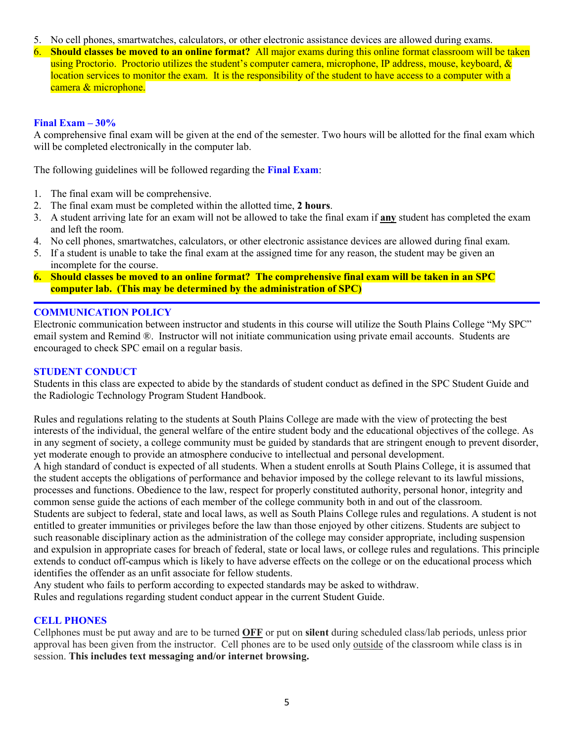- 5. No cell phones, smartwatches, calculators, or other electronic assistance devices are allowed during exams.
- 6. **Should classes be moved to an online format?** All major exams during this online format classroom will be taken using Proctorio. Proctorio utilizes the student's computer camera, microphone, IP address, mouse, keyboard, & location services to monitor the exam. It is the responsibility of the student to have access to a computer with a camera & microphone.

#### **Final Exam – 30%**

A comprehensive final exam will be given at the end of the semester. Two hours will be allotted for the final exam which will be completed electronically in the computer lab.

The following guidelines will be followed regarding the **Final Exam**:

- 1. The final exam will be comprehensive.
- 2. The final exam must be completed within the allotted time, **2 hours**.
- 3. A student arriving late for an exam will not be allowed to take the final exam if **any** student has completed the exam and left the room.
- 4. No cell phones, smartwatches, calculators, or other electronic assistance devices are allowed during final exam.
- 5. If a student is unable to take the final exam at the assigned time for any reason, the student may be given an incomplete for the course.
- **6. Should classes be moved to an online format? The comprehensive final exam will be taken in an SPC computer lab. (This may be determined by the administration of SPC)**

## **COMMUNICATION POLICY**

Electronic communication between instructor and students in this course will utilize the South Plains College "My SPC" email system and Remind ®. Instructor will not initiate communication using private email accounts. Students are encouraged to check SPC email on a regular basis.

#### **STUDENT CONDUCT**

Students in this class are expected to abide by the standards of student conduct as defined in the SPC Student Guide and the Radiologic Technology Program Student Handbook.

Rules and regulations relating to the students at South Plains College are made with the view of protecting the best interests of the individual, the general welfare of the entire student body and the educational objectives of the college. As in any segment of society, a college community must be guided by standards that are stringent enough to prevent disorder, yet moderate enough to provide an atmosphere conducive to intellectual and personal development.

A high standard of conduct is expected of all students. When a student enrolls at South Plains College, it is assumed that the student accepts the obligations of performance and behavior imposed by the college relevant to its lawful missions, processes and functions. Obedience to the law, respect for properly constituted authority, personal honor, integrity and common sense guide the actions of each member of the college community both in and out of the classroom.

Students are subject to federal, state and local laws, as well as South Plains College rules and regulations. A student is not entitled to greater immunities or privileges before the law than those enjoyed by other citizens. Students are subject to such reasonable disciplinary action as the administration of the college may consider appropriate, including suspension and expulsion in appropriate cases for breach of federal, state or local laws, or college rules and regulations. This principle extends to conduct off-campus which is likely to have adverse effects on the college or on the educational process which identifies the offender as an unfit associate for fellow students.

Any student who fails to perform according to expected standards may be asked to withdraw. Rules and regulations regarding student conduct appear in the current Student Guide.

#### **CELL PHONES**

Cellphones must be put away and are to be turned **OFF** or put on **silent** during scheduled class/lab periods, unless prior approval has been given from the instructor. Cell phones are to be used only outside of the classroom while class is in session. **This includes text messaging and/or internet browsing.**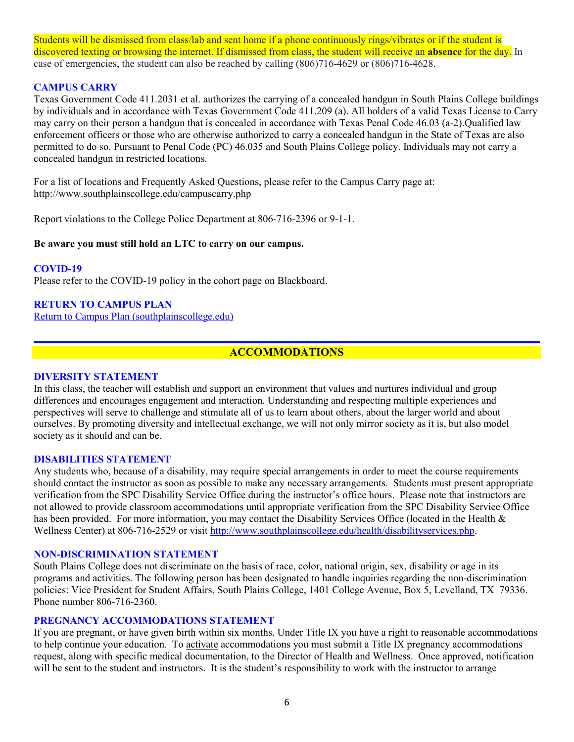Students will be dismissed from class/lab and sent home if a phone continuously rings/vibrates or if the student is discovered texting or browsing the internet. If dismissed from class, the student will receive an **absence** for the day. In case of emergencies, the student can also be reached by calling (806)716-4629 or (806)716-4628.

### **CAMPUS CARRY**

Texas Government Code 411.2031 et al. authorizes the carrying of a concealed handgun in South Plains College buildings by individuals and in accordance with Texas Government Code 411.209 (a). All holders of a valid Texas License to Carry may carry on their person a handgun that is concealed in accordance with Texas Penal Code 46.03 (a-2).Qualified law enforcement officers or those who are otherwise authorized to carry a concealed handgun in the State of Texas are also permitted to do so. Pursuant to Penal Code (PC) 46.035 and South Plains College policy. Individuals may not carry a concealed handgun in restricted locations.

For a list of locations and Frequently Asked Questions, please refer to the Campus Carry page at: http://www.southplainscollege.edu/campuscarry.php

Report violations to the College Police Department at 806-716-2396 or 9-1-1.

#### **Be aware you must still hold an LTC to carry on our campus.**

#### **COVID-19**

Please refer to the COVID-19 policy in the cohort page on Blackboard.

#### **RETURN TO CAMPUS PLAN**

[Return to Campus Plan \(southplainscollege.edu\)](http://www.southplainscollege.edu/emergency/return-to-campus-plan.php)

## **ACCOMMODATIONS**

#### **DIVERSITY STATEMENT**

In this class, the teacher will establish and support an environment that values and nurtures individual and group differences and encourages engagement and interaction. Understanding and respecting multiple experiences and perspectives will serve to challenge and stimulate all of us to learn about others, about the larger world and about ourselves. By promoting diversity and intellectual exchange, we will not only mirror society as it is, but also model society as it should and can be.

#### **DISABILITIES STATEMENT**

Any students who, because of a disability, may require special arrangements in order to meet the course requirements should contact the instructor as soon as possible to make any necessary arrangements. Students must present appropriate verification from the SPC Disability Service Office during the instructor's office hours. Please note that instructors are not allowed to provide classroom accommodations until appropriate verification from the SPC Disability Service Office has been provided. For more information, you may contact the Disability Services Office (located in the Health & Wellness Center) at 806-716-2529 or visit [http://www.southplainscollege.edu/health/disabilityservices.php.](http://www.southplainscollege.edu/health/disabilityservices.php)

#### **NON-DISCRIMINATION STATEMENT**

South Plains College does not discriminate on the basis of race, color, national origin, sex, disability or age in its programs and activities. The following person has been designated to handle inquiries regarding the non-discrimination policies: Vice President for Student Affairs, South Plains College, 1401 College Avenue, Box 5, Levelland, TX 79336. Phone number 806-716-2360.

#### **PREGNANCY ACCOMMODATIONS STATEMENT**

If you are pregnant, or have given birth within six months, Under Title IX you have a right to reasonable accommodations to help continue your education. To [activate](http://www.southplainscollege.edu/employees/manualshandbooks/facultyhandbook/sec4.php) accommodations you must submit a Title IX pregnancy accommodations request, along with specific medical documentation, to the Director of Health and Wellness. Once approved, notification will be sent to the student and instructors. It is the student's responsibility to work with the instructor to arrange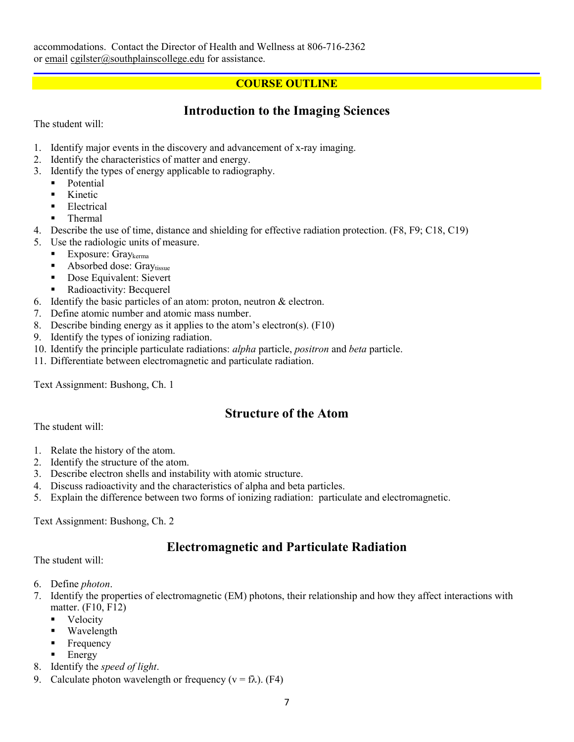## **COURSE OUTLINE**

# **Introduction to the Imaging Sciences**

The student will:

- 1. Identify major events in the discovery and advancement of x-ray imaging.
- 2. Identify the characteristics of matter and energy.
- 3. Identify the types of energy applicable to radiography.
	- **Potential** 
		- **Kinetic**
		- **Electrical**
		- Thermal
- 4. Describe the use of time, distance and shielding for effective radiation protection. (F8, F9; C18, C19)
- 5. Use the radiologic units of measure.
	- Exposure: Gray $k_{\text{erma}}$
	- Absorbed dose: Graytissue
	- Dose Equivalent: Sievert
	- Radioactivity: Becquerel
- 6. Identify the basic particles of an atom: proton, neutron & electron.
- 7. Define atomic number and atomic mass number.
- 8. Describe binding energy as it applies to the atom's electron(s). (F10)
- 9. Identify the types of ionizing radiation.
- 10. Identify the principle particulate radiations: *alpha* particle, *positron* and *beta* particle.
- 11. Differentiate between electromagnetic and particulate radiation.

Text Assignment: Bushong, Ch. 1

## **Structure of the Atom**

The student will:

- 1. Relate the history of the atom.
- 2. Identify the structure of the atom.
- 3. Describe electron shells and instability with atomic structure.
- 4. Discuss radioactivity and the characteristics of alpha and beta particles.
- 5. Explain the difference between two forms of ionizing radiation: particulate and electromagnetic.

Text Assignment: Bushong, Ch. 2

# **Electromagnetic and Particulate Radiation**

The student will:

- 6. Define *photon*.
- 7. Identify the properties of electromagnetic (EM) photons, their relationship and how they affect interactions with matter. (F10, F12)
	- Velocity
	- Wavelength
	- Frequency
	- $\blacksquare$  Energy
- 8. Identify the *speed of light*.
- 9. Calculate photon wavelength or frequency ( $v = f\lambda$ ). (F4)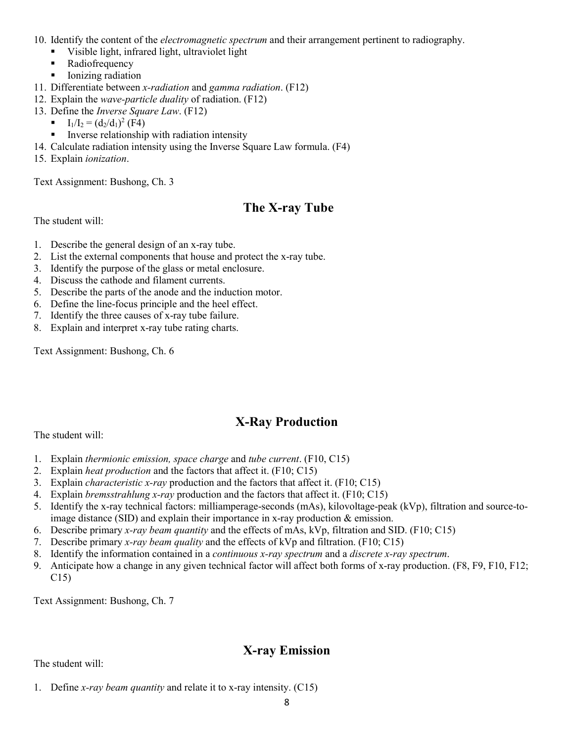- 10. Identify the content of the *electromagnetic spectrum* and their arrangement pertinent to radiography.
	- Visible light, infrared light, ultraviolet light
	- Radiofrequency
	- **I** Ionizing radiation
- 11. Differentiate between *x-radiation* and *gamma radiation*. (F12)
- 12. Explain the *wave-particle duality* of radiation. (F12)
- 13. Define the *Inverse Square Law*. (F12)
	- $I_1/I_2 = (d_2/d_1)^2$  (F4)
	- Inverse relationship with radiation intensity
- 14. Calculate radiation intensity using the Inverse Square Law formula. (F4)
- 15. Explain *ionization*.

Text Assignment: Bushong, Ch. 3

# **The X-ray Tube**

The student will:

- 1. Describe the general design of an x-ray tube.
- 2. List the external components that house and protect the x-ray tube.
- 3. Identify the purpose of the glass or metal enclosure.
- 4. Discuss the cathode and filament currents.
- 5. Describe the parts of the anode and the induction motor.
- 6. Define the line-focus principle and the heel effect.
- 7. Identify the three causes of x-ray tube failure.
- 8. Explain and interpret x-ray tube rating charts.

Text Assignment: Bushong, Ch. 6

# **X-Ray Production**

The student will:

- 1. Explain *thermionic emission, space charge* and *tube current*. (F10, C15)
- 2. Explain *heat production* and the factors that affect it. (F10; C15)
- 3. Explain *characteristic x-ray* production and the factors that affect it. (F10; C15)
- 4. Explain *bremsstrahlung x-ray* production and the factors that affect it. (F10; C15)
- 5. Identify the x-ray technical factors: milliamperage-seconds (mAs), kilovoltage-peak (kVp), filtration and source-toimage distance (SID) and explain their importance in x-ray production & emission.
- 6. Describe primary *x-ray beam quantity* and the effects of mAs, kVp, filtration and SID. (F10; C15)
- 7. Describe primary *x-ray beam quality* and the effects of kVp and filtration. (F10; C15)
- 8. Identify the information contained in a *continuous x-ray spectrum* and a *discrete x-ray spectrum*.
- 9. Anticipate how a change in any given technical factor will affect both forms of x-ray production. (F8, F9, F10, F12; C15)

Text Assignment: Bushong, Ch. 7

# **X-ray Emission**

The student will:

1. Define *x-ray beam quantity* and relate it to x-ray intensity. (C15)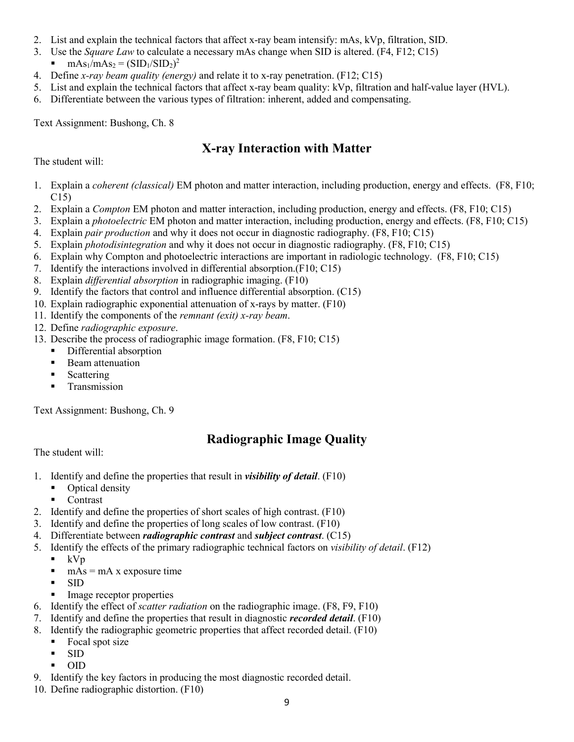- 2. List and explain the technical factors that affect x-ray beam intensify: mAs, kVp, filtration, SID.
- 3. Use the *Square Law* to calculate a necessary mAs change when SID is altered. (F4, F12; C15)
	- $\blacksquare$  mAs<sub>1</sub>/mAs<sub>2</sub> = (SID<sub>1</sub>/SID<sub>2</sub>)<sup>2</sup>
- 4. Define *x-ray beam quality (energy)* and relate it to x-ray penetration. (F12; C15)
- 5. List and explain the technical factors that affect x-ray beam quality: kVp, filtration and half-value layer (HVL).
- 6. Differentiate between the various types of filtration: inherent, added and compensating.

Text Assignment: Bushong, Ch. 8

# **X-ray Interaction with Matter**

The student will:

- 1. Explain a *coherent (classical)* EM photon and matter interaction, including production, energy and effects. (F8, F10; C15)
- 2. Explain a *Compton* EM photon and matter interaction, including production, energy and effects. (F8, F10; C15)
- 3. Explain a *photoelectric* EM photon and matter interaction, including production, energy and effects. (F8, F10; C15)
- 4. Explain *pair production* and why it does not occur in diagnostic radiography. (F8, F10; C15)
- 5. Explain *photodisintegration* and why it does not occur in diagnostic radiography. (F8, F10; C15)
- 6. Explain why Compton and photoelectric interactions are important in radiologic technology. (F8, F10; C15)
- 7. Identify the interactions involved in differential absorption.(F10; C15)
- 8. Explain *differential absorption* in radiographic imaging. (F10)
- 9. Identify the factors that control and influence differential absorption. (C15)
- 10. Explain radiographic exponential attenuation of x-rays by matter. (F10)
- 11. Identify the components of the *remnant (exit) x-ray beam*.
- 12. Define *radiographic exposure*.
- 13. Describe the process of radiographic image formation. (F8, F10; C15)
	- Differential absorption
	- **Beam attenuation**
	- Scattering
	- **Transmission**

Text Assignment: Bushong, Ch. 9

# **Radiographic Image Quality**

The student will:

- 1. Identify and define the properties that result in *visibility of detail*. (F10)
	- Optical density
	- **Contrast**
- 2. Identify and define the properties of short scales of high contrast. (F10)
- 3. Identify and define the properties of long scales of low contrast. (F10)
- 4. Differentiate between *radiographic contrast* and *subject contrast*. (C15)
- 5. Identify the effects of the primary radiographic technical factors on *visibility of detail*. (F12)
	- $\blacksquare$  kVp
	- $\blacksquare$  mAs = mA x exposure time
	- SID
	- Image receptor properties
- 6. Identify the effect of *scatter radiation* on the radiographic image. (F8, F9, F10)
- 7. Identify and define the properties that result in diagnostic *recorded detail*. (F10)
- 8. Identify the radiographic geometric properties that affect recorded detail. (F10)
	- Focal spot size
	- SID
	- OID
- 9. Identify the key factors in producing the most diagnostic recorded detail.
- 10. Define radiographic distortion. (F10)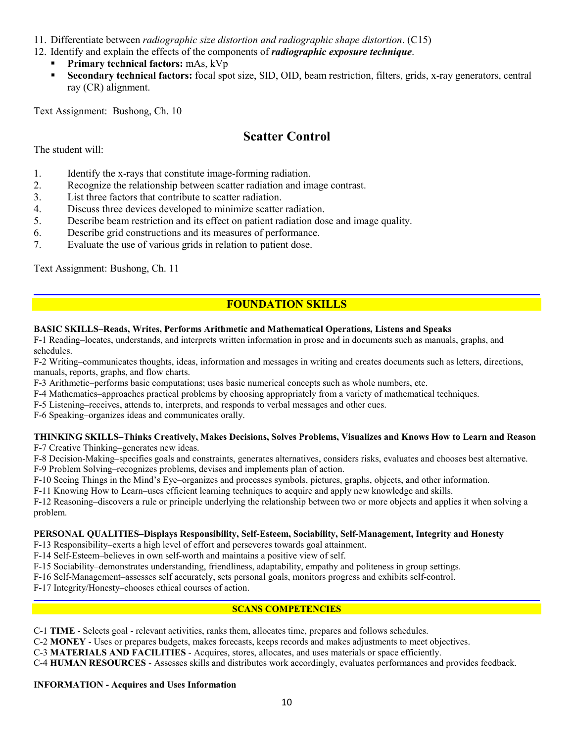11. Differentiate between *radiographic size distortion and radiographic shape distortion*. (C15)

- 12. Identify and explain the effects of the components of *radiographic exposure technique*.
	- **Primary technical factors:** mAs, kVp
	- **Secondary technical factors:** focal spot size, SID, OID, beam restriction, filters, grids, x-ray generators, central ray (CR) alignment.

Text Assignment: Bushong, Ch. 10

# **Scatter Control**

The student will:

- 1. Identify the x-rays that constitute image-forming radiation.
- 2. Recognize the relationship between scatter radiation and image contrast.
- 3. List three factors that contribute to scatter radiation.
- 4. Discuss three devices developed to minimize scatter radiation.
- 5. Describe beam restriction and its effect on patient radiation dose and image quality.
- 6. Describe grid constructions and its measures of performance.
- 7. Evaluate the use of various grids in relation to patient dose.

Text Assignment: Bushong, Ch. 11

## **FOUNDATION SKILLS**

#### **BASIC SKILLS–Reads, Writes, Performs Arithmetic and Mathematical Operations, Listens and Speaks**

F-1 Reading–locates, understands, and interprets written information in prose and in documents such as manuals, graphs, and schedules.

F-2 Writing–communicates thoughts, ideas, information and messages in writing and creates documents such as letters, directions, manuals, reports, graphs, and flow charts.

F-3 Arithmetic–performs basic computations; uses basic numerical concepts such as whole numbers, etc.

- F-4 Mathematics–approaches practical problems by choosing appropriately from a variety of mathematical techniques.
- F-5 Listening–receives, attends to, interprets, and responds to verbal messages and other cues.

F-6 Speaking–organizes ideas and communicates orally.

# **THINKING SKILLS–Thinks Creatively, Makes Decisions, Solves Problems, Visualizes and Knows How to Learn and Reason**

F-7 Creative Thinking–generates new ideas.

F-8 Decision-Making–specifies goals and constraints, generates alternatives, considers risks, evaluates and chooses best alternative.

F-9 Problem Solving–recognizes problems, devises and implements plan of action.

F-10 Seeing Things in the Mind's Eye–organizes and processes symbols, pictures, graphs, objects, and other information.

F-11 Knowing How to Learn–uses efficient learning techniques to acquire and apply new knowledge and skills.

F-12 Reasoning–discovers a rule or principle underlying the relationship between two or more objects and applies it when solving a problem.

#### **PERSONAL QUALITIES–Displays Responsibility, Self-Esteem, Sociability, Self-Management, Integrity and Honesty**

F-13 Responsibility–exerts a high level of effort and perseveres towards goal attainment.

F-14 Self-Esteem–believes in own self-worth and maintains a positive view of self.

F-15 Sociability–demonstrates understanding, friendliness, adaptability, empathy and politeness in group settings.

F-16 Self-Management–assesses self accurately, sets personal goals, monitors progress and exhibits self-control.

F-17 Integrity/Honesty–chooses ethical courses of action.

#### **SCANS COMPETENCIES**

C-1 **TIME** - Selects goal - relevant activities, ranks them, allocates time, prepares and follows schedules.

C-2 **MONEY** - Uses or prepares budgets, makes forecasts, keeps records and makes adjustments to meet objectives.

C-3 **MATERIALS AND FACILITIES** - Acquires, stores, allocates, and uses materials or space efficiently.

C-4 **HUMAN RESOURCES** - Assesses skills and distributes work accordingly, evaluates performances and provides feedback.

#### **INFORMATION - Acquires and Uses Information**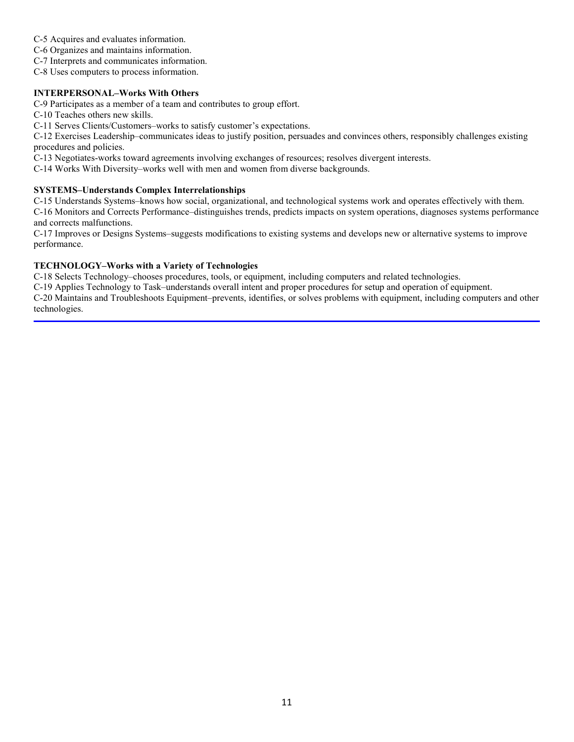- C-5 Acquires and evaluates information.
- C-6 Organizes and maintains information.
- C-7 Interprets and communicates information.
- C-8 Uses computers to process information.

#### **INTERPERSONAL–Works With Others**

C-9 Participates as a member of a team and contributes to group effort.

C-10 Teaches others new skills.

C-11 Serves Clients/Customers–works to satisfy customer's expectations.

C-12 Exercises Leadership–communicates ideas to justify position, persuades and convinces others, responsibly challenges existing procedures and policies.

C-13 Negotiates-works toward agreements involving exchanges of resources; resolves divergent interests.

C-14 Works With Diversity–works well with men and women from diverse backgrounds.

#### **SYSTEMS–Understands Complex Interrelationships**

C-15 Understands Systems–knows how social, organizational, and technological systems work and operates effectively with them.

C-16 Monitors and Corrects Performance–distinguishes trends, predicts impacts on system operations, diagnoses systems performance and corrects malfunctions.

C-17 Improves or Designs Systems–suggests modifications to existing systems and develops new or alternative systems to improve performance.

#### **TECHNOLOGY–Works with a Variety of Technologies**

C-18 Selects Technology–chooses procedures, tools, or equipment, including computers and related technologies.

C-19 Applies Technology to Task–understands overall intent and proper procedures for setup and operation of equipment. C-20 Maintains and Troubleshoots Equipment–prevents, identifies, or solves problems with equipment, including computers and other technologies.